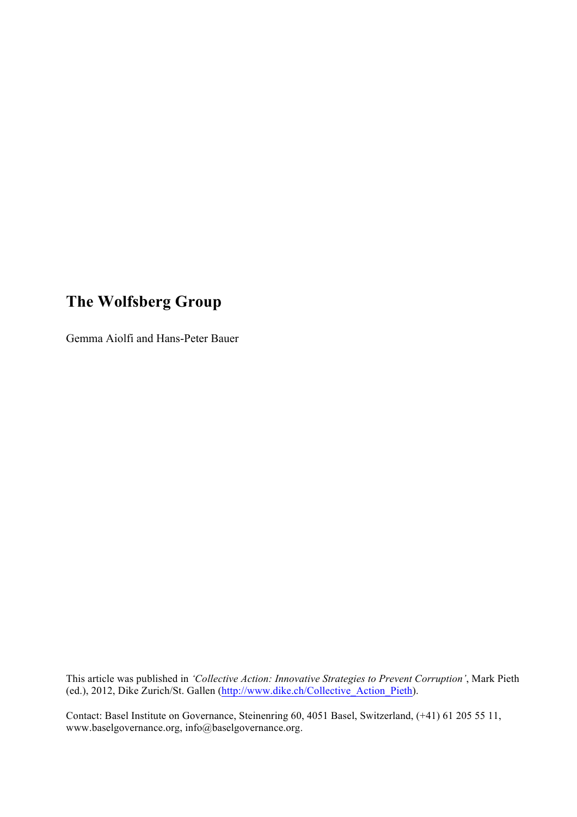# **The Wolfsberg Group**

Gemma Aiolfi and Hans-Peter Bauer

This article was published in *'Collective Action: Innovative Strategies to Prevent Corruption'*, Mark Pieth (ed.), 2012, Dike Zurich/St. Gallen (http://www.dike.ch/Collective\_Action\_Pieth).

Contact: Basel Institute on Governance, Steinenring 60, 4051 Basel, Switzerland, (+41) 61 205 55 11, www.baselgovernance.org, info@baselgovernance.org.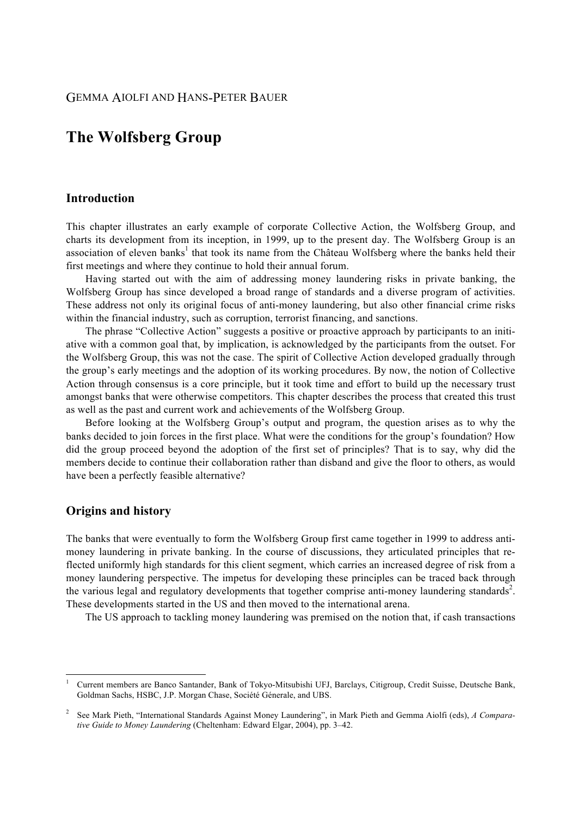## **The Wolfsberg Group**

## **Introduction**

This chapter illustrates an early example of corporate Collective Action, the Wolfsberg Group, and charts its development from its inception, in 1999, up to the present day. The Wolfsberg Group is an association of eleven banks<sup>1</sup> that took its name from the Château Wolfsberg where the banks held their first meetings and where they continue to hold their annual forum.

Having started out with the aim of addressing money laundering risks in private banking, the Wolfsberg Group has since developed a broad range of standards and a diverse program of activities. These address not only its original focus of anti-money laundering, but also other financial crime risks within the financial industry, such as corruption, terrorist financing, and sanctions.

The phrase "Collective Action" suggests a positive or proactive approach by participants to an initiative with a common goal that, by implication, is acknowledged by the participants from the outset. For the Wolfsberg Group, this was not the case. The spirit of Collective Action developed gradually through the group's early meetings and the adoption of its working procedures. By now, the notion of Collective Action through consensus is a core principle, but it took time and effort to build up the necessary trust amongst banks that were otherwise competitors. This chapter describes the process that created this trust as well as the past and current work and achievements of the Wolfsberg Group.

Before looking at the Wolfsberg Group's output and program, the question arises as to why the banks decided to join forces in the first place. What were the conditions for the group's foundation? How did the group proceed beyond the adoption of the first set of principles? That is to say, why did the members decide to continue their collaboration rather than disband and give the floor to others, as would have been a perfectly feasible alternative?

#### **Origins and history**

 

The banks that were eventually to form the Wolfsberg Group first came together in 1999 to address antimoney laundering in private banking. In the course of discussions, they articulated principles that reflected uniformly high standards for this client segment, which carries an increased degree of risk from a money laundering perspective. The impetus for developing these principles can be traced back through the various legal and regulatory developments that together comprise anti-money laundering standards<sup>2</sup>. These developments started in the US and then moved to the international arena.

The US approach to tackling money laundering was premised on the notion that, if cash transactions

<sup>1</sup> Current members are Banco Santander, Bank of Tokyo-Mitsubishi UFJ, Barclays, Citigroup, Credit Suisse, Deutsche Bank, Goldman Sachs, HSBC, J.P. Morgan Chase, Société Génerale, and UBS.

<sup>2</sup> See Mark Pieth, "International Standards Against Money Laundering", in Mark Pieth and Gemma Aiolfi (eds), *A Comparative Guide to Money Laundering* (Cheltenham: Edward Elgar, 2004), pp. 3–42.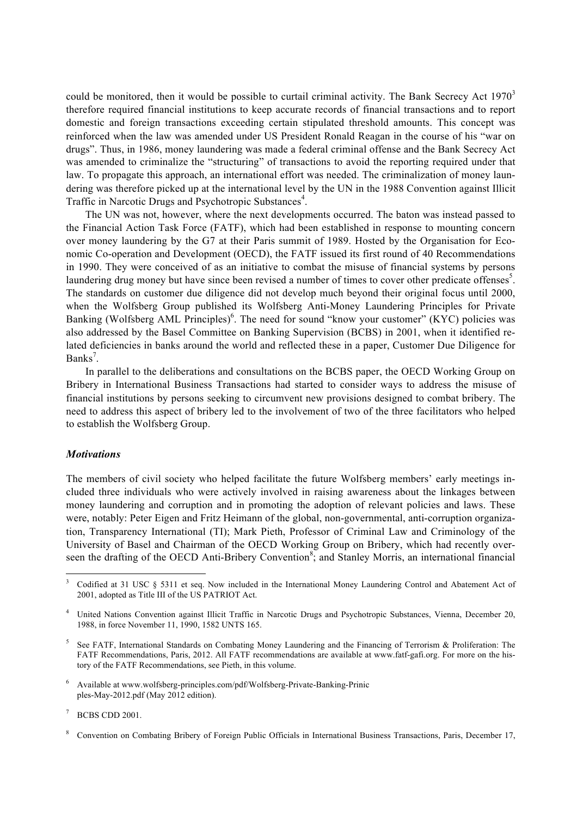could be monitored, then it would be possible to curtail criminal activity. The Bank Secrecy Act 1970<sup>3</sup> therefore required financial institutions to keep accurate records of financial transactions and to report domestic and foreign transactions exceeding certain stipulated threshold amounts. This concept was reinforced when the law was amended under US President Ronald Reagan in the course of his "war on drugs". Thus, in 1986, money laundering was made a federal criminal offense and the Bank Secrecy Act was amended to criminalize the "structuring" of transactions to avoid the reporting required under that law. To propagate this approach, an international effort was needed. The criminalization of money laundering was therefore picked up at the international level by the UN in the 1988 Convention against Illicit Traffic in Narcotic Drugs and Psychotropic Substances<sup>4</sup>.

The UN was not, however, where the next developments occurred. The baton was instead passed to the Financial Action Task Force (FATF), which had been established in response to mounting concern over money laundering by the G7 at their Paris summit of 1989. Hosted by the Organisation for Economic Co-operation and Development (OECD), the FATF issued its first round of 40 Recommendations in 1990. They were conceived of as an initiative to combat the misuse of financial systems by persons laundering drug money but have since been revised a number of times to cover other predicate offenses $<sup>5</sup>$ .</sup> The standards on customer due diligence did not develop much beyond their original focus until 2000, when the Wolfsberg Group published its Wolfsberg Anti-Money Laundering Principles for Private Banking (Wolfsberg AML Principles)<sup>6</sup>. The need for sound "know your customer" (KYC) policies was also addressed by the Basel Committee on Banking Supervision (BCBS) in 2001, when it identified related deficiencies in banks around the world and reflected these in a paper, Customer Due Diligence for Banks<sup>7</sup>.

In parallel to the deliberations and consultations on the BCBS paper, the OECD Working Group on Bribery in International Business Transactions had started to consider ways to address the misuse of financial institutions by persons seeking to circumvent new provisions designed to combat bribery. The need to address this aspect of bribery led to the involvement of two of the three facilitators who helped to establish the Wolfsberg Group.

#### *Motivations*

The members of civil society who helped facilitate the future Wolfsberg members' early meetings included three individuals who were actively involved in raising awareness about the linkages between money laundering and corruption and in promoting the adoption of relevant policies and laws. These were, notably: Peter Eigen and Fritz Heimann of the global, non-governmental, anti-corruption organization, Transparency International (TI); Mark Pieth, Professor of Criminal Law and Criminology of the University of Basel and Chairman of the OECD Working Group on Bribery, which had recently overseen the drafting of the OECD Anti-Bribery Convention<sup>8</sup>; and Stanley Morris, an international financial

 

<sup>3</sup> Codified at 31 USC § 5311 et seq. Now included in the International Money Laundering Control and Abatement Act of 2001, adopted as Title III of the US PATRIOT Act.

<sup>4</sup> United Nations Convention against Illicit Traffic in Narcotic Drugs and Psychotropic Substances, Vienna, December 20, 1988, in force November 11, 1990, 1582 UNTS 165.

<sup>5</sup> See FATF, International Standards on Combating Money Laundering and the Financing of Terrorism & Proliferation: The FATF Recommendations, Paris, 2012. All FATF recommendations are available at www.fatf-gafi.org. For more on the history of the FATF Recommendations, see Pieth, in this volume.

<sup>6</sup> Available at www.wolfsberg-principles.com/pdf/Wolfsberg-Private-Banking-Prinic ples-May-2012.pdf (May 2012 edition).

<sup>7</sup> BCBS CDD 2001.

<sup>8</sup> Convention on Combating Bribery of Foreign Public Officials in International Business Transactions, Paris, December 17,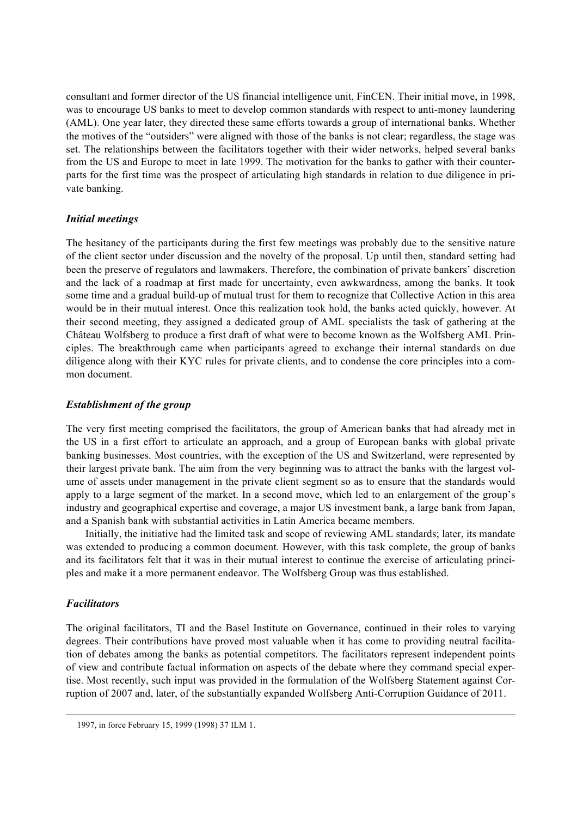consultant and former director of the US financial intelligence unit, FinCEN. Their initial move, in 1998, was to encourage US banks to meet to develop common standards with respect to anti-money laundering (AML). One year later, they directed these same efforts towards a group of international banks. Whether the motives of the "outsiders" were aligned with those of the banks is not clear; regardless, the stage was set. The relationships between the facilitators together with their wider networks, helped several banks from the US and Europe to meet in late 1999. The motivation for the banks to gather with their counterparts for the first time was the prospect of articulating high standards in relation to due diligence in private banking.

## *Initial meetings*

The hesitancy of the participants during the first few meetings was probably due to the sensitive nature of the client sector under discussion and the novelty of the proposal. Up until then, standard setting had been the preserve of regulators and lawmakers. Therefore, the combination of private bankers' discretion and the lack of a roadmap at first made for uncertainty, even awkwardness, among the banks. It took some time and a gradual build-up of mutual trust for them to recognize that Collective Action in this area would be in their mutual interest. Once this realization took hold, the banks acted quickly, however. At their second meeting, they assigned a dedicated group of AML specialists the task of gathering at the Château Wolfsberg to produce a first draft of what were to become known as the Wolfsberg AML Principles. The breakthrough came when participants agreed to exchange their internal standards on due diligence along with their KYC rules for private clients, and to condense the core principles into a common document.

## *Establishment of the group*

The very first meeting comprised the facilitators, the group of American banks that had already met in the US in a first effort to articulate an approach, and a group of European banks with global private banking businesses. Most countries, with the exception of the US and Switzerland, were represented by their largest private bank. The aim from the very beginning was to attract the banks with the largest volume of assets under management in the private client segment so as to ensure that the standards would apply to a large segment of the market. In a second move, which led to an enlargement of the group's industry and geographical expertise and coverage, a major US investment bank, a large bank from Japan, and a Spanish bank with substantial activities in Latin America became members.

Initially, the initiative had the limited task and scope of reviewing AML standards; later, its mandate was extended to producing a common document. However, with this task complete, the group of banks and its facilitators felt that it was in their mutual interest to continue the exercise of articulating principles and make it a more permanent endeavor. The Wolfsberg Group was thus established.

## *Facilitators*

The original facilitators, TI and the Basel Institute on Governance, continued in their roles to varying degrees. Their contributions have proved most valuable when it has come to providing neutral facilitation of debates among the banks as potential competitors. The facilitators represent independent points of view and contribute factual information on aspects of the debate where they command special expertise. Most recently, such input was provided in the formulation of the Wolfsberg Statement against Corruption of 2007 and, later, of the substantially expanded Wolfsberg Anti-Corruption Guidance of 2011.

<u> 1989 - Johann Barbert, fransk politik (d. 1989)</u>

<sup>1997,</sup> in force February 15, 1999 (1998) 37 ILM 1.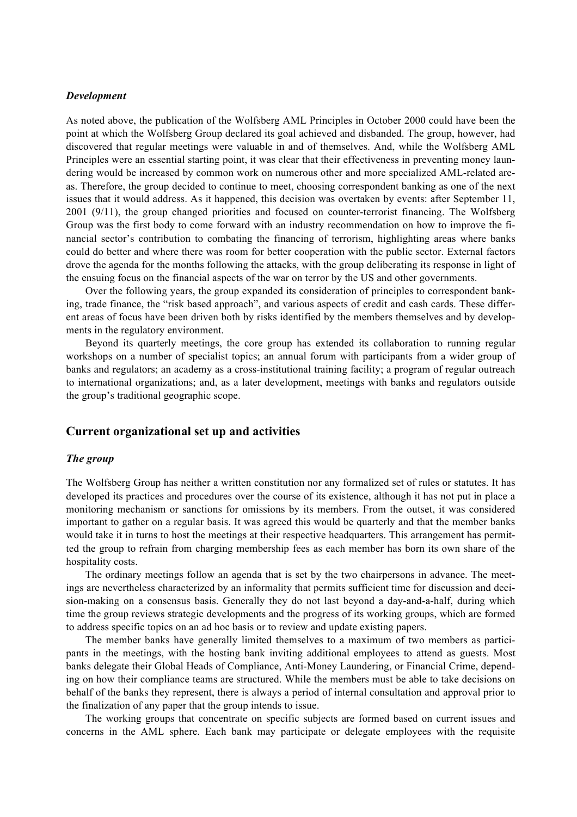#### *Development*

As noted above, the publication of the Wolfsberg AML Principles in October 2000 could have been the point at which the Wolfsberg Group declared its goal achieved and disbanded. The group, however, had discovered that regular meetings were valuable in and of themselves. And, while the Wolfsberg AML Principles were an essential starting point, it was clear that their effectiveness in preventing money laundering would be increased by common work on numerous other and more specialized AML-related areas. Therefore, the group decided to continue to meet, choosing correspondent banking as one of the next issues that it would address. As it happened, this decision was overtaken by events: after September 11, 2001 (9/11), the group changed priorities and focused on counter-terrorist financing. The Wolfsberg Group was the first body to come forward with an industry recommendation on how to improve the financial sector's contribution to combating the financing of terrorism, highlighting areas where banks could do better and where there was room for better cooperation with the public sector. External factors drove the agenda for the months following the attacks, with the group deliberating its response in light of the ensuing focus on the financial aspects of the war on terror by the US and other governments.

Over the following years, the group expanded its consideration of principles to correspondent banking, trade finance, the "risk based approach", and various aspects of credit and cash cards. These different areas of focus have been driven both by risks identified by the members themselves and by developments in the regulatory environment.

Beyond its quarterly meetings, the core group has extended its collaboration to running regular workshops on a number of specialist topics; an annual forum with participants from a wider group of banks and regulators; an academy as a cross-institutional training facility; a program of regular outreach to international organizations; and, as a later development, meetings with banks and regulators outside the group's traditional geographic scope.

## **Current organizational set up and activities**

#### *The group*

The Wolfsberg Group has neither a written constitution nor any formalized set of rules or statutes. It has developed its practices and procedures over the course of its existence, although it has not put in place a monitoring mechanism or sanctions for omissions by its members. From the outset, it was considered important to gather on a regular basis. It was agreed this would be quarterly and that the member banks would take it in turns to host the meetings at their respective headquarters. This arrangement has permitted the group to refrain from charging membership fees as each member has born its own share of the hospitality costs.

The ordinary meetings follow an agenda that is set by the two chairpersons in advance. The meetings are nevertheless characterized by an informality that permits sufficient time for discussion and decision-making on a consensus basis. Generally they do not last beyond a day-and-a-half, during which time the group reviews strategic developments and the progress of its working groups, which are formed to address specific topics on an ad hoc basis or to review and update existing papers.

The member banks have generally limited themselves to a maximum of two members as participants in the meetings, with the hosting bank inviting additional employees to attend as guests. Most banks delegate their Global Heads of Compliance, Anti-Money Laundering, or Financial Crime, depending on how their compliance teams are structured. While the members must be able to take decisions on behalf of the banks they represent, there is always a period of internal consultation and approval prior to the finalization of any paper that the group intends to issue.

The working groups that concentrate on specific subjects are formed based on current issues and concerns in the AML sphere. Each bank may participate or delegate employees with the requisite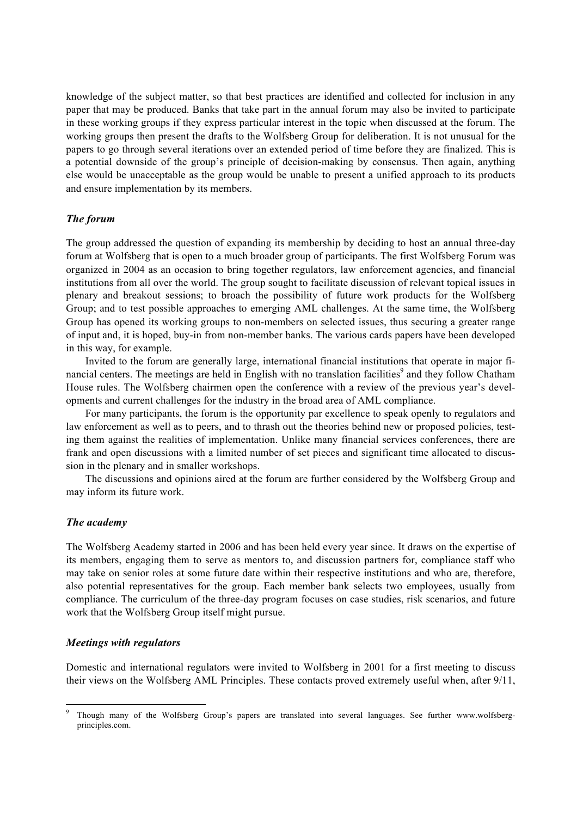knowledge of the subject matter, so that best practices are identified and collected for inclusion in any paper that may be produced. Banks that take part in the annual forum may also be invited to participate in these working groups if they express particular interest in the topic when discussed at the forum. The working groups then present the drafts to the Wolfsberg Group for deliberation. It is not unusual for the papers to go through several iterations over an extended period of time before they are finalized. This is a potential downside of the group's principle of decision-making by consensus. Then again, anything else would be unacceptable as the group would be unable to present a unified approach to its products and ensure implementation by its members.

#### *The forum*

The group addressed the question of expanding its membership by deciding to host an annual three-day forum at Wolfsberg that is open to a much broader group of participants. The first Wolfsberg Forum was organized in 2004 as an occasion to bring together regulators, law enforcement agencies, and financial institutions from all over the world. The group sought to facilitate discussion of relevant topical issues in plenary and breakout sessions; to broach the possibility of future work products for the Wolfsberg Group; and to test possible approaches to emerging AML challenges. At the same time, the Wolfsberg Group has opened its working groups to non-members on selected issues, thus securing a greater range of input and, it is hoped, buy-in from non-member banks. The various cards papers have been developed in this way, for example.

Invited to the forum are generally large, international financial institutions that operate in major financial centers. The meetings are held in English with no translation facilities<sup>9</sup> and they follow Chatham House rules. The Wolfsberg chairmen open the conference with a review of the previous year's developments and current challenges for the industry in the broad area of AML compliance.

For many participants, the forum is the opportunity par excellence to speak openly to regulators and law enforcement as well as to peers, and to thrash out the theories behind new or proposed policies, testing them against the realities of implementation. Unlike many financial services conferences, there are frank and open discussions with a limited number of set pieces and significant time allocated to discussion in the plenary and in smaller workshops.

The discussions and opinions aired at the forum are further considered by the Wolfsberg Group and may inform its future work.

#### *The academy*

The Wolfsberg Academy started in 2006 and has been held every year since. It draws on the expertise of its members, engaging them to serve as mentors to, and discussion partners for, compliance staff who may take on senior roles at some future date within their respective institutions and who are, therefore, also potential representatives for the group. Each member bank selects two employees, usually from compliance. The curriculum of the three-day program focuses on case studies, risk scenarios, and future work that the Wolfsberg Group itself might pursue.

#### *Meetings with regulators*

Domestic and international regulators were invited to Wolfsberg in 2001 for a first meeting to discuss their views on the Wolfsberg AML Principles. These contacts proved extremely useful when, after 9/11,

 <sup>9</sup> Though many of the Wolfsberg Group's papers are translated into several languages. See further www.wolfsbergprinciples.com.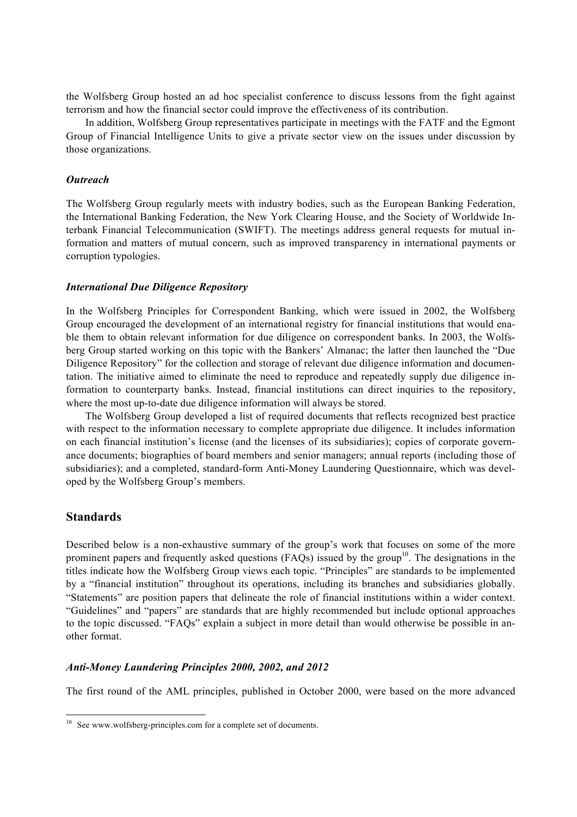the Wolfsberg Group hosted an ad hoc specialist conference to discuss lessons from the fight against terrorism and how the financial sector could improve the effectiveness of its contribution.

In addition, Wolfsberg Group representatives participate in meetings with the FATF and the Egmont Group of Financial Intelligence Units to give a private sector view on the issues under discussion by those organizations.

#### *Outreach*

The Wolfsberg Group regularly meets with industry bodies, such as the European Banking Federation, the International Banking Federation, the New York Clearing House, and the Society of Worldwide Interbank Financial Telecommunication (SWIFT). The meetings address general requests for mutual information and matters of mutual concern, such as improved transparency in international payments or corruption typologies.

#### *International Due Diligence Repository*

In the Wolfsberg Principles for Correspondent Banking, which were issued in 2002, the Wolfsberg Group encouraged the development of an international registry for financial institutions that would enable them to obtain relevant information for due diligence on correspondent banks. In 2003, the Wolfsberg Group started working on this topic with the Bankers' Almanac; the latter then launched the "Due Diligence Repository" for the collection and storage of relevant due diligence information and documentation. The initiative aimed to eliminate the need to reproduce and repeatedly supply due diligence information to counterparty banks. Instead, financial institutions can direct inquiries to the repository, where the most up-to-date due diligence information will always be stored.

The Wolfsberg Group developed a list of required documents that reflects recognized best practice with respect to the information necessary to complete appropriate due diligence. It includes information on each financial institution's license (and the licenses of its subsidiaries); copies of corporate governance documents; biographies of board members and senior managers; annual reports (including those of subsidiaries); and a completed, standard-form Anti-Money Laundering Questionnaire, which was developed by the Wolfsberg Group's members.

## **Standards**

Described below is a non-exhaustive summary of the group's work that focuses on some of the more prominent papers and frequently asked questions (FAQs) issued by the group<sup>10</sup>. The designations in the titles indicate how the Wolfsberg Group views each topic. "Principles" are standards to be implemented by a "financial institution" throughout its operations, including its branches and subsidiaries globally. "Statements" are position papers that delineate the role of financial institutions within a wider context. "Guidelines" and "papers" are standards that are highly recommended but include optional approaches to the topic discussed. "FAQs" explain a subject in more detail than would otherwise be possible in another format.

#### *Anti-Money Laundering Principles 2000, 2002, and 2012*

The first round of the AML principles, published in October 2000, were based on the more advanced

<sup>&</sup>lt;sup>10</sup> See www.wolfsberg-principles.com for a complete set of documents.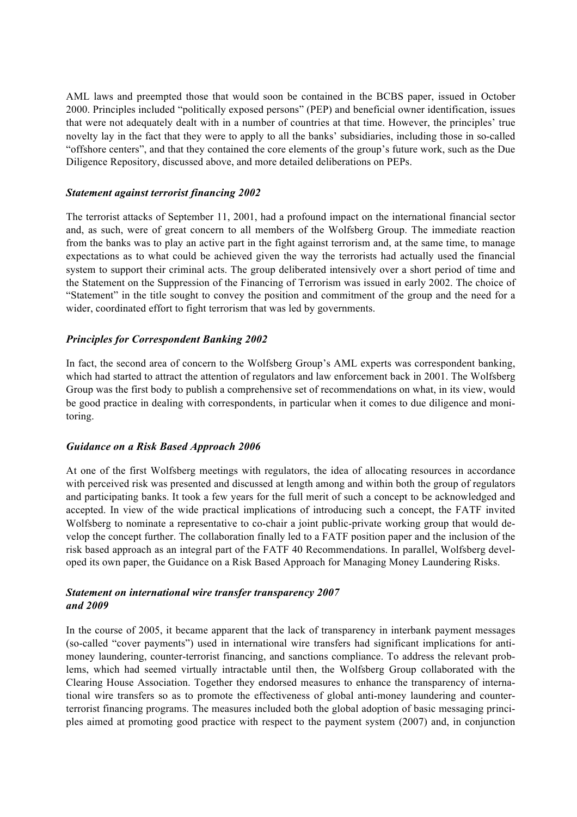AML laws and preempted those that would soon be contained in the BCBS paper, issued in October 2000. Principles included "politically exposed persons" (PEP) and beneficial owner identification, issues that were not adequately dealt with in a number of countries at that time. However, the principles' true novelty lay in the fact that they were to apply to all the banks' subsidiaries, including those in so-called "offshore centers", and that they contained the core elements of the group's future work, such as the Due Diligence Repository, discussed above, and more detailed deliberations on PEPs.

## *Statement against terrorist financing 2002*

The terrorist attacks of September 11, 2001, had a profound impact on the international financial sector and, as such, were of great concern to all members of the Wolfsberg Group. The immediate reaction from the banks was to play an active part in the fight against terrorism and, at the same time, to manage expectations as to what could be achieved given the way the terrorists had actually used the financial system to support their criminal acts. The group deliberated intensively over a short period of time and the Statement on the Suppression of the Financing of Terrorism was issued in early 2002. The choice of "Statement" in the title sought to convey the position and commitment of the group and the need for a wider, coordinated effort to fight terrorism that was led by governments.

## *Principles for Correspondent Banking 2002*

In fact, the second area of concern to the Wolfsberg Group's AML experts was correspondent banking, which had started to attract the attention of regulators and law enforcement back in 2001. The Wolfsberg Group was the first body to publish a comprehensive set of recommendations on what, in its view, would be good practice in dealing with correspondents, in particular when it comes to due diligence and monitoring.

## *Guidance on a Risk Based Approach 2006*

At one of the first Wolfsberg meetings with regulators, the idea of allocating resources in accordance with perceived risk was presented and discussed at length among and within both the group of regulators and participating banks. It took a few years for the full merit of such a concept to be acknowledged and accepted. In view of the wide practical implications of introducing such a concept, the FATF invited Wolfsberg to nominate a representative to co-chair a joint public-private working group that would develop the concept further. The collaboration finally led to a FATF position paper and the inclusion of the risk based approach as an integral part of the FATF 40 Recommendations. In parallel, Wolfsberg developed its own paper, the Guidance on a Risk Based Approach for Managing Money Laundering Risks.

## *Statement on international wire transfer transparency 2007 and 2009*

In the course of 2005, it became apparent that the lack of transparency in interbank payment messages (so-called "cover payments") used in international wire transfers had significant implications for antimoney laundering, counter-terrorist financing, and sanctions compliance. To address the relevant problems, which had seemed virtually intractable until then, the Wolfsberg Group collaborated with the Clearing House Association. Together they endorsed measures to enhance the transparency of international wire transfers so as to promote the effectiveness of global anti-money laundering and counterterrorist financing programs. The measures included both the global adoption of basic messaging principles aimed at promoting good practice with respect to the payment system (2007) and, in conjunction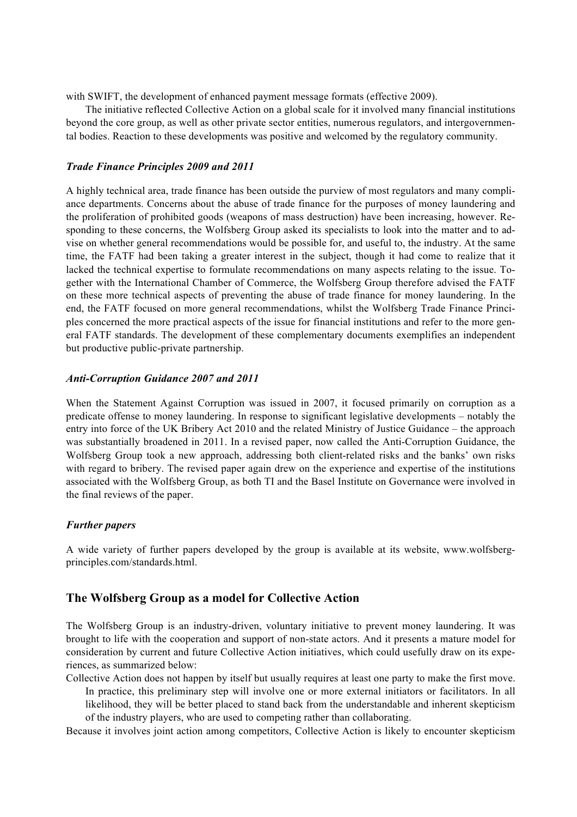with SWIFT, the development of enhanced payment message formats (effective 2009).

The initiative reflected Collective Action on a global scale for it involved many financial institutions beyond the core group, as well as other private sector entities, numerous regulators, and intergovernmental bodies. Reaction to these developments was positive and welcomed by the regulatory community.

## *Trade Finance Principles 2009 and 2011*

A highly technical area, trade finance has been outside the purview of most regulators and many compliance departments. Concerns about the abuse of trade finance for the purposes of money laundering and the proliferation of prohibited goods (weapons of mass destruction) have been increasing, however. Responding to these concerns, the Wolfsberg Group asked its specialists to look into the matter and to advise on whether general recommendations would be possible for, and useful to, the industry. At the same time, the FATF had been taking a greater interest in the subject, though it had come to realize that it lacked the technical expertise to formulate recommendations on many aspects relating to the issue. Together with the International Chamber of Commerce, the Wolfsberg Group therefore advised the FATF on these more technical aspects of preventing the abuse of trade finance for money laundering. In the end, the FATF focused on more general recommendations, whilst the Wolfsberg Trade Finance Principles concerned the more practical aspects of the issue for financial institutions and refer to the more general FATF standards. The development of these complementary documents exemplifies an independent but productive public-private partnership.

## *Anti-Corruption Guidance 2007 and 2011*

When the Statement Against Corruption was issued in 2007, it focused primarily on corruption as a predicate offense to money laundering. In response to significant legislative developments – notably the entry into force of the UK Bribery Act 2010 and the related Ministry of Justice Guidance – the approach was substantially broadened in 2011. In a revised paper, now called the Anti-Corruption Guidance, the Wolfsberg Group took a new approach, addressing both client-related risks and the banks' own risks with regard to bribery. The revised paper again drew on the experience and expertise of the institutions associated with the Wolfsberg Group, as both TI and the Basel Institute on Governance were involved in the final reviews of the paper.

## *Further papers*

A wide variety of further papers developed by the group is available at its website, www.wolfsbergprinciples.com/standards.html.

## **The Wolfsberg Group as a model for Collective Action**

The Wolfsberg Group is an industry-driven, voluntary initiative to prevent money laundering. It was brought to life with the cooperation and support of non-state actors. And it presents a mature model for consideration by current and future Collective Action initiatives, which could usefully draw on its experiences, as summarized below:

Collective Action does not happen by itself but usually requires at least one party to make the first move. In practice, this preliminary step will involve one or more external initiators or facilitators. In all likelihood, they will be better placed to stand back from the understandable and inherent skepticism of the industry players, who are used to competing rather than collaborating.

Because it involves joint action among competitors, Collective Action is likely to encounter skepticism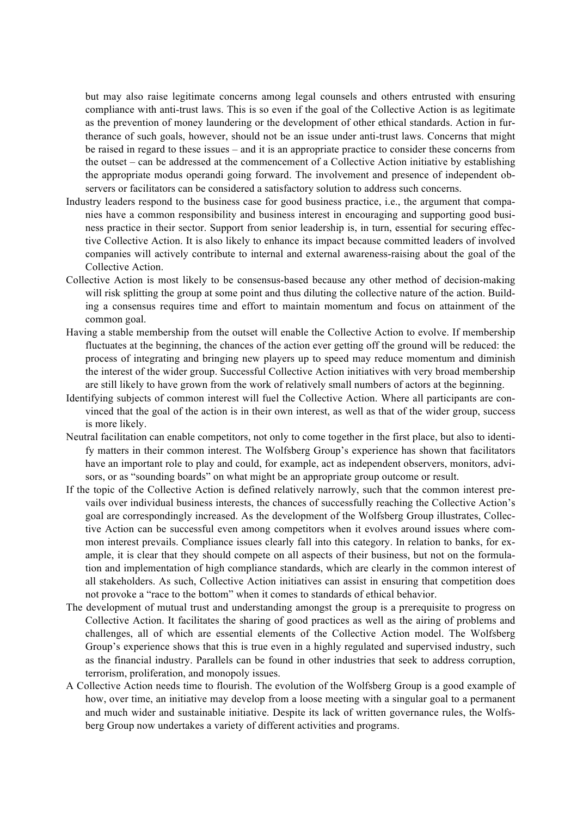but may also raise legitimate concerns among legal counsels and others entrusted with ensuring compliance with anti-trust laws. This is so even if the goal of the Collective Action is as legitimate as the prevention of money laundering or the development of other ethical standards. Action in furtherance of such goals, however, should not be an issue under anti-trust laws. Concerns that might be raised in regard to these issues – and it is an appropriate practice to consider these concerns from the outset – can be addressed at the commencement of a Collective Action initiative by establishing the appropriate modus operandi going forward. The involvement and presence of independent observers or facilitators can be considered a satisfactory solution to address such concerns.

- Industry leaders respond to the business case for good business practice, i.e., the argument that companies have a common responsibility and business interest in encouraging and supporting good business practice in their sector. Support from senior leadership is, in turn, essential for securing effective Collective Action. It is also likely to enhance its impact because committed leaders of involved companies will actively contribute to internal and external awareness-raising about the goal of the Collective Action.
- Collective Action is most likely to be consensus-based because any other method of decision-making will risk splitting the group at some point and thus diluting the collective nature of the action. Building a consensus requires time and effort to maintain momentum and focus on attainment of the common goal.
- Having a stable membership from the outset will enable the Collective Action to evolve. If membership fluctuates at the beginning, the chances of the action ever getting off the ground will be reduced: the process of integrating and bringing new players up to speed may reduce momentum and diminish the interest of the wider group. Successful Collective Action initiatives with very broad membership are still likely to have grown from the work of relatively small numbers of actors at the beginning.
- Identifying subjects of common interest will fuel the Collective Action. Where all participants are convinced that the goal of the action is in their own interest, as well as that of the wider group, success is more likely.
- Neutral facilitation can enable competitors, not only to come together in the first place, but also to identify matters in their common interest. The Wolfsberg Group's experience has shown that facilitators have an important role to play and could, for example, act as independent observers, monitors, advisors, or as "sounding boards" on what might be an appropriate group outcome or result.
- If the topic of the Collective Action is defined relatively narrowly, such that the common interest prevails over individual business interests, the chances of successfully reaching the Collective Action's goal are correspondingly increased. As the development of the Wolfsberg Group illustrates, Collective Action can be successful even among competitors when it evolves around issues where common interest prevails. Compliance issues clearly fall into this category. In relation to banks, for example, it is clear that they should compete on all aspects of their business, but not on the formulation and implementation of high compliance standards, which are clearly in the common interest of all stakeholders. As such, Collective Action initiatives can assist in ensuring that competition does not provoke a "race to the bottom" when it comes to standards of ethical behavior.
- The development of mutual trust and understanding amongst the group is a prerequisite to progress on Collective Action. It facilitates the sharing of good practices as well as the airing of problems and challenges, all of which are essential elements of the Collective Action model. The Wolfsberg Group's experience shows that this is true even in a highly regulated and supervised industry, such as the financial industry. Parallels can be found in other industries that seek to address corruption, terrorism, proliferation, and monopoly issues.
- A Collective Action needs time to flourish. The evolution of the Wolfsberg Group is a good example of how, over time, an initiative may develop from a loose meeting with a singular goal to a permanent and much wider and sustainable initiative. Despite its lack of written governance rules, the Wolfsberg Group now undertakes a variety of different activities and programs.